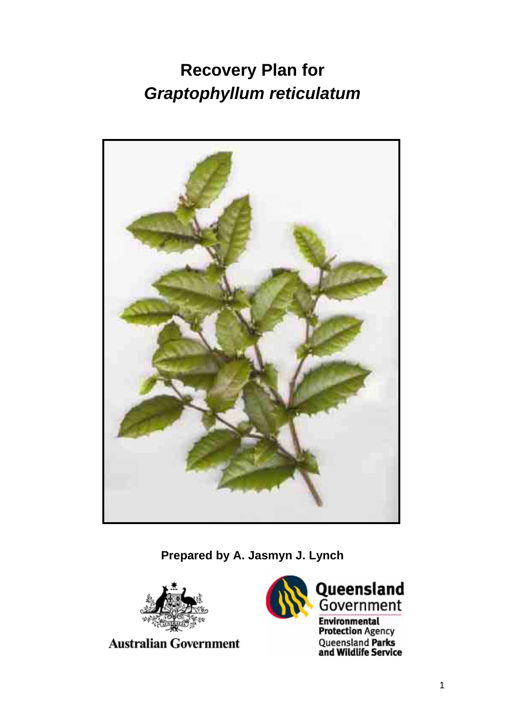# **Recovery Plan for**  *Graptophyllum reticulatum*



**Prepared by A. Jasmyn J. Lynch**



**Australian Government** 



Queensland Government

**Environmental**<br>**Protection** Agency Queensland Parks<br>and Wildlife Service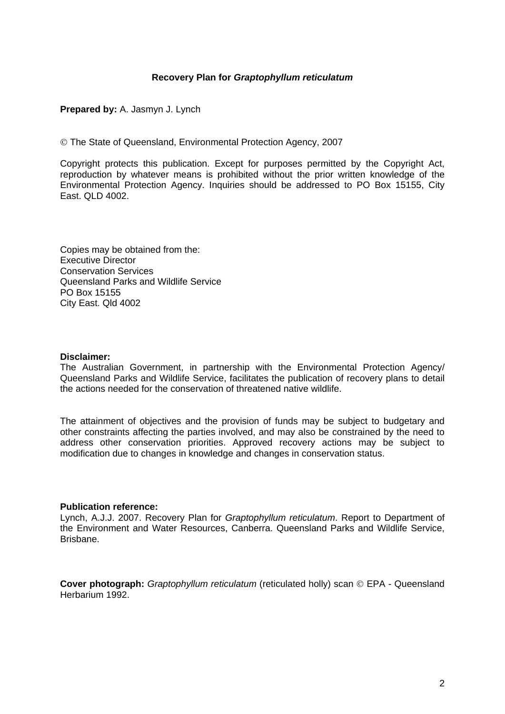#### **Recovery Plan for** *Graptophyllum reticulatum*

**Prepared by:** A. Jasmyn J. Lynch

© The State of Queensland, Environmental Protection Agency, 2007

Copyright protects this publication. Except for purposes permitted by the Copyright Act, reproduction by whatever means is prohibited without the prior written knowledge of the Environmental Protection Agency. Inquiries should be addressed to PO Box 15155, City East. QLD 4002.

Copies may be obtained from the: Executive Director Conservation Services Queensland Parks and Wildlife Service PO Box 15155 City East. Qld 4002

#### **Disclaimer:**

The Australian Government, in partnership with the Environmental Protection Agency/ Queensland Parks and Wildlife Service, facilitates the publication of recovery plans to detail the actions needed for the conservation of threatened native wildlife.

The attainment of objectives and the provision of funds may be subject to budgetary and other constraints affecting the parties involved, and may also be constrained by the need to address other conservation priorities. Approved recovery actions may be subject to modification due to changes in knowledge and changes in conservation status.

#### **Publication reference:**

Lynch, A.J.J. 2007. Recovery Plan for *Graptophyllum reticulatum*. Report to Department of the Environment and Water Resources, Canberra. Queensland Parks and Wildlife Service, Brisbane.

**Cover photograph:** *Graptophyllum reticulatum* (reticulated holly) scan © EPA - Queensland Herbarium 1992.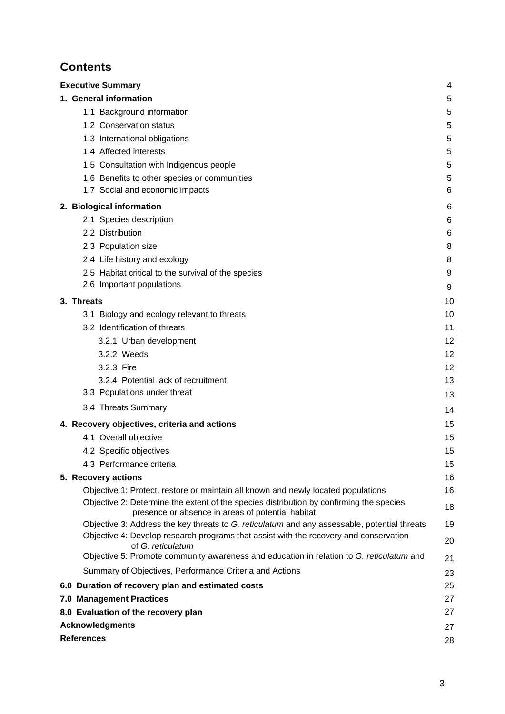# **Contents**

| <b>Executive Summary</b>                                                                                                                      | 4  |
|-----------------------------------------------------------------------------------------------------------------------------------------------|----|
| 1. General information                                                                                                                        | 5  |
| 1.1 Background information                                                                                                                    | 5  |
| 1.2 Conservation status                                                                                                                       | 5  |
| 1.3 International obligations                                                                                                                 | 5  |
| 1.4 Affected interests                                                                                                                        | 5  |
| 1.5 Consultation with Indigenous people                                                                                                       | 5  |
| 1.6 Benefits to other species or communities                                                                                                  | 5  |
| 1.7 Social and economic impacts                                                                                                               | 6  |
| 2. Biological information                                                                                                                     | 6  |
| 2.1 Species description                                                                                                                       | 6  |
| 2.2 Distribution                                                                                                                              | 6  |
| 2.3 Population size                                                                                                                           | 8  |
| 2.4 Life history and ecology                                                                                                                  | 8  |
| 2.5 Habitat critical to the survival of the species                                                                                           | 9  |
| 2.6 Important populations                                                                                                                     | 9  |
| 3. Threats                                                                                                                                    | 10 |
| 3.1 Biology and ecology relevant to threats                                                                                                   | 10 |
| 3.2 Identification of threats                                                                                                                 | 11 |
| 3.2.1 Urban development                                                                                                                       | 12 |
| 3.2.2 Weeds                                                                                                                                   | 12 |
| 3.2.3 Fire                                                                                                                                    | 12 |
| 3.2.4 Potential lack of recruitment                                                                                                           | 13 |
| 3.3 Populations under threat                                                                                                                  | 13 |
| 3.4 Threats Summary                                                                                                                           | 14 |
| 4. Recovery objectives, criteria and actions                                                                                                  | 15 |
| 4.1 Overall objective                                                                                                                         | 15 |
| 4.2 Specific objectives                                                                                                                       | 15 |
| 4.3 Performance criteria                                                                                                                      | 15 |
| 5. Recovery actions                                                                                                                           | 16 |
| Objective 1: Protect, restore or maintain all known and newly located populations                                                             | 16 |
| Objective 2: Determine the extent of the species distribution by confirming the species<br>presence or absence in areas of potential habitat. | 18 |
| Objective 3: Address the key threats to G. reticulatum and any assessable, potential threats                                                  | 19 |
| Objective 4: Develop research programs that assist with the recovery and conservation<br>of G. reticulatum                                    | 20 |
| Objective 5: Promote community awareness and education in relation to G. reticulatum and                                                      | 21 |
| Summary of Objectives, Performance Criteria and Actions                                                                                       | 23 |
| 6.0 Duration of recovery plan and estimated costs                                                                                             | 25 |
| <b>7.0 Management Practices</b>                                                                                                               | 27 |
| 8.0 Evaluation of the recovery plan                                                                                                           | 27 |
| <b>Acknowledgments</b>                                                                                                                        | 27 |
| <b>References</b>                                                                                                                             | 28 |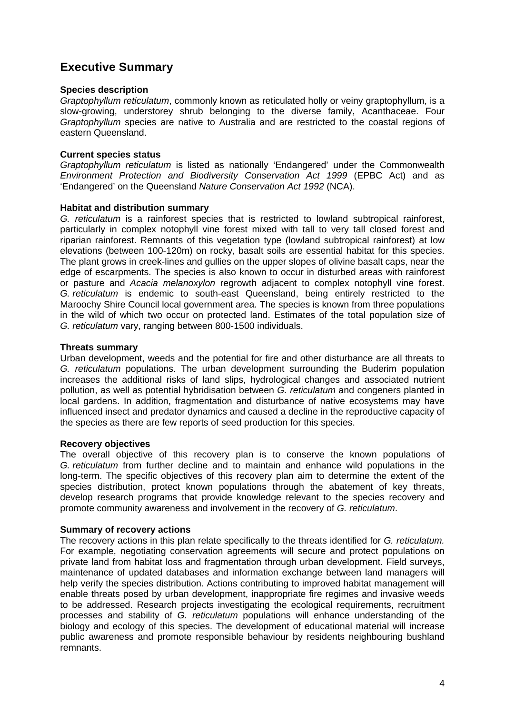## **Executive Summary**

#### **Species description**

*Graptophyllum reticulatum*, commonly known as reticulated holly or veiny graptophyllum, is a slow-growing, understorey shrub belonging to the diverse family, Acanthaceae. Four *Graptophyllum* species are native to Australia and are restricted to the coastal regions of eastern Queensland.

#### **Current species status**

*Graptophyllum reticulatum* is listed as nationally 'Endangered' under the Commonwealth *Environment Protection and Biodiversity Conservation Act 1999* (EPBC Act) and as 'Endangered' on the Queensland *Nature Conservation Act 1992* (NCA).

#### **Habitat and distribution summary**

*G. reticulatum* is a rainforest species that is restricted to lowland subtropical rainforest, particularly in complex notophyll vine forest mixed with tall to very tall closed forest and riparian rainforest. Remnants of this vegetation type (lowland subtropical rainforest) at low elevations (between 100-120m) on rocky, basalt soils are essential habitat for this species. The plant grows in creek-lines and gullies on the upper slopes of olivine basalt caps, near the edge of escarpments. The species is also known to occur in disturbed areas with rainforest or pasture and *Acacia melanoxylon* regrowth adjacent to complex notophyll vine forest. *G. reticulatum* is endemic to south-east Queensland, being entirely restricted to the Maroochy Shire Council local government area. The species is known from three populations in the wild of which two occur on protected land. Estimates of the total population size of *G. reticulatum* vary, ranging between 800-1500 individuals.

#### **Threats summary**

Urban development, weeds and the potential for fire and other disturbance are all threats to *G. reticulatum* populations. The urban development surrounding the Buderim population increases the additional risks of land slips, hydrological changes and associated nutrient pollution, as well as potential hybridisation between *G. reticulatum* and congeners planted in local gardens. In addition, fragmentation and disturbance of native ecosystems may have influenced insect and predator dynamics and caused a decline in the reproductive capacity of the species as there are few reports of seed production for this species.

#### **Recovery objectives**

The overall objective of this recovery plan is to conserve the known populations of *G. reticulatum* from further decline and to maintain and enhance wild populations in the long-term. The specific objectives of this recovery plan aim to determine the extent of the species distribution, protect known populations through the abatement of key threats, develop research programs that provide knowledge relevant to the species recovery and promote community awareness and involvement in the recovery of *G. reticulatum*.

#### **Summary of recovery actions**

The recovery actions in this plan relate specifically to the threats identified for *G. reticulatum.*  For example, negotiating conservation agreements will secure and protect populations on private land from habitat loss and fragmentation through urban development. Field surveys, maintenance of updated databases and information exchange between land managers will help verify the species distribution. Actions contributing to improved habitat management will enable threats posed by urban development, inappropriate fire regimes and invasive weeds to be addressed. Research projects investigating the ecological requirements, recruitment processes and stability of *G. reticulatum* populations will enhance understanding of the biology and ecology of this species. The development of educational material will increase public awareness and promote responsible behaviour by residents neighbouring bushland remnants.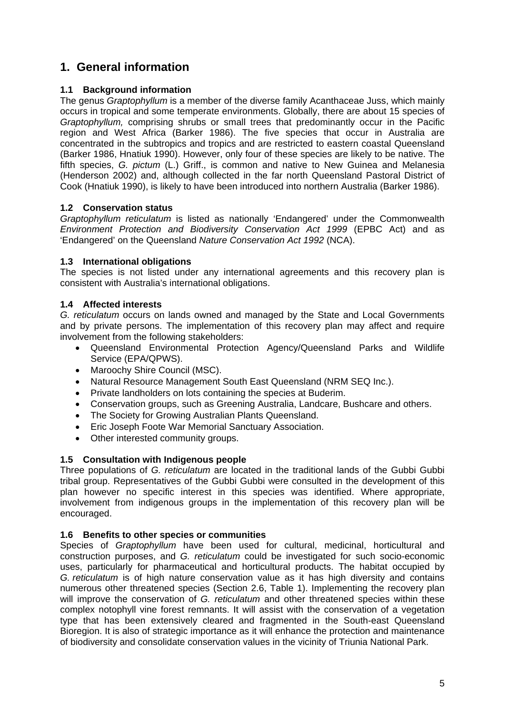# **1. General information**

#### **1.1 Background information**

The genus *Graptophyllum* is a member of the diverse family Acanthaceae Juss, which mainly occurs in tropical and some temperate environments. Globally, there are about 15 species of *Graptophyllum,* comprising shrubs or small trees that predominantly occur in the Pacific region and West Africa (Barker 1986). The five species that occur in Australia are concentrated in the subtropics and tropics and are restricted to eastern coastal Queensland (Barker 1986, Hnatiuk 1990). However, only four of these species are likely to be native. The fifth species, *G. pictum* (L.) Griff., is common and native to New Guinea and Melanesia (Henderson 2002) and, although collected in the far north Queensland Pastoral District of Cook (Hnatiuk 1990), is likely to have been introduced into northern Australia (Barker 1986).

#### **1.2 Conservation status**

*Graptophyllum reticulatum* is listed as nationally 'Endangered' under the Commonwealth *Environment Protection and Biodiversity Conservation Act 1999* (EPBC Act) and as 'Endangered' on the Queensland *Nature Conservation Act 1992* (NCA).

#### **1.3 International obligations**

The species is not listed under any international agreements and this recovery plan is consistent with Australia's international obligations.

#### **1.4 Affected interests**

*G. reticulatum* occurs on lands owned and managed by the State and Local Governments and by private persons. The implementation of this recovery plan may affect and require involvement from the following stakeholders:

- Queensland Environmental Protection Agency/Queensland Parks and Wildlife Service (EPA/QPWS).
- Maroochy Shire Council (MSC).
- Natural Resource Management South East Queensland (NRM SEQ Inc.).
- Private landholders on lots containing the species at Buderim.
- Conservation groups, such as Greening Australia, Landcare, Bushcare and others.
- The Society for Growing Australian Plants Queensland.
- Eric Joseph Foote War Memorial Sanctuary Association.
- Other interested community groups.

#### **1.5 Consultation with Indigenous people**

Three populations of *G. reticulatum* are located in the traditional lands of the Gubbi Gubbi tribal group. Representatives of the Gubbi Gubbi were consulted in the development of this plan however no specific interest in this species was identified. Where appropriate, involvement from indigenous groups in the implementation of this recovery plan will be encouraged.

#### **1.6 Benefits to other species or communities**

Species of *Graptophyllum* have been used for cultural, medicinal, horticultural and construction purposes, and *G. reticulatum* could be investigated for such socio-economic uses, particularly for pharmaceutical and horticultural products. The habitat occupied by *G. reticulatum* is of high nature conservation value as it has high diversity and contains numerous other threatened species (Section 2.6, Table 1). Implementing the recovery plan will improve the conservation of *G. reticulatum* and other threatened species within these complex notophyll vine forest remnants. It will assist with the conservation of a vegetation type that has been extensively cleared and fragmented in the South-east Queensland Bioregion. It is also of strategic importance as it will enhance the protection and maintenance of biodiversity and consolidate conservation values in the vicinity of Triunia National Park.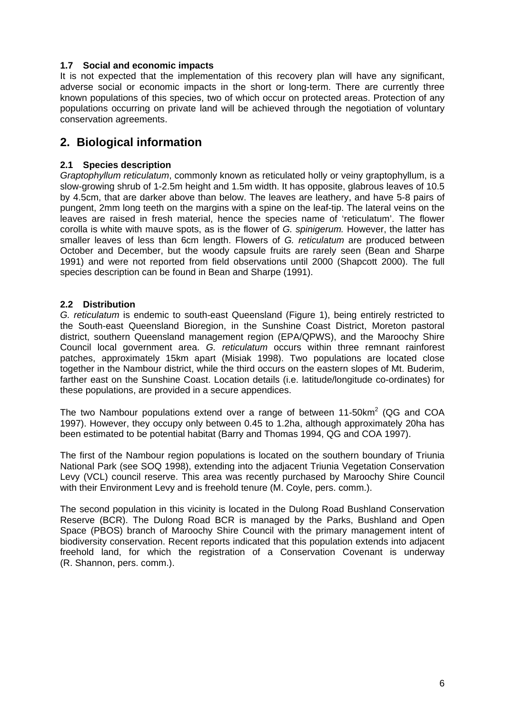#### **1.7 Social and economic impacts**

It is not expected that the implementation of this recovery plan will have any significant, adverse social or economic impacts in the short or long-term. There are currently three known populations of this species, two of which occur on protected areas. Protection of any populations occurring on private land will be achieved through the negotiation of voluntary conservation agreements.

### **2. Biological information**

#### **2.1 Species description**

*Graptophyllum reticulatum*, commonly known as reticulated holly or veiny graptophyllum, is a slow-growing shrub of 1-2.5m height and 1.5m width. It has opposite, glabrous leaves of 10.5 by 4.5cm, that are darker above than below. The leaves are leathery, and have 5-8 pairs of pungent, 2mm long teeth on the margins with a spine on the leaf-tip. The lateral veins on the leaves are raised in fresh material, hence the species name of 'reticulatum'. The flower corolla is white with mauve spots, as is the flower of *G. spinigerum.* However, the latter has smaller leaves of less than 6cm length. Flowers of *G. reticulatum* are produced between October and December, but the woody capsule fruits are rarely seen (Bean and Sharpe 1991) and were not reported from field observations until 2000 (Shapcott 2000). The full species description can be found in Bean and Sharpe (1991).

#### **2.2 Distribution**

*G. reticulatum* is endemic to south-east Queensland (Figure 1), being entirely restricted to the South-east Queensland Bioregion, in the Sunshine Coast District, Moreton pastoral district, southern Queensland management region (EPA/QPWS), and the Maroochy Shire Council local government area. *G. reticulatum* occurs within three remnant rainforest patches, approximately 15km apart (Misiak 1998). Two populations are located close together in the Nambour district, while the third occurs on the eastern slopes of Mt. Buderim, farther east on the Sunshine Coast. Location details (i.e. latitude/longitude co-ordinates) for these populations, are provided in a secure appendices.

The two Nambour populations extend over a range of between 11-50 $km^2$  (QG and COA 1997). However, they occupy only between 0.45 to 1.2ha, although approximately 20ha has been estimated to be potential habitat (Barry and Thomas 1994, QG and COA 1997).

The first of the Nambour region populations is located on the southern boundary of Triunia National Park (see SOQ 1998), extending into the adjacent Triunia Vegetation Conservation Levy (VCL) council reserve. This area was recently purchased by Maroochy Shire Council with their Environment Levy and is freehold tenure (M. Coyle, pers. comm.).

The second population in this vicinity is located in the Dulong Road Bushland Conservation Reserve (BCR). The Dulong Road BCR is managed by the Parks, Bushland and Open Space (PBOS) branch of Maroochy Shire Council with the primary management intent of biodiversity conservation. Recent reports indicated that this population extends into adjacent freehold land, for which the registration of a Conservation Covenant is underway (R. Shannon, pers. comm.).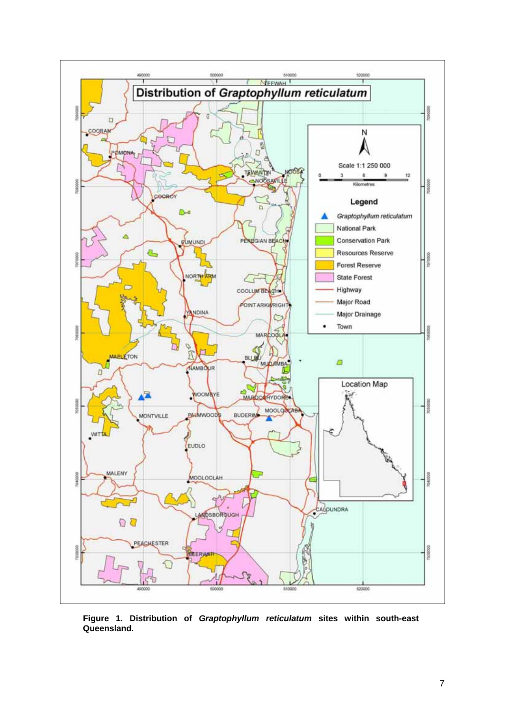

**Figure 1. Distribution of** *Graptophyllum reticulatum* **sites within south-east Queensland.**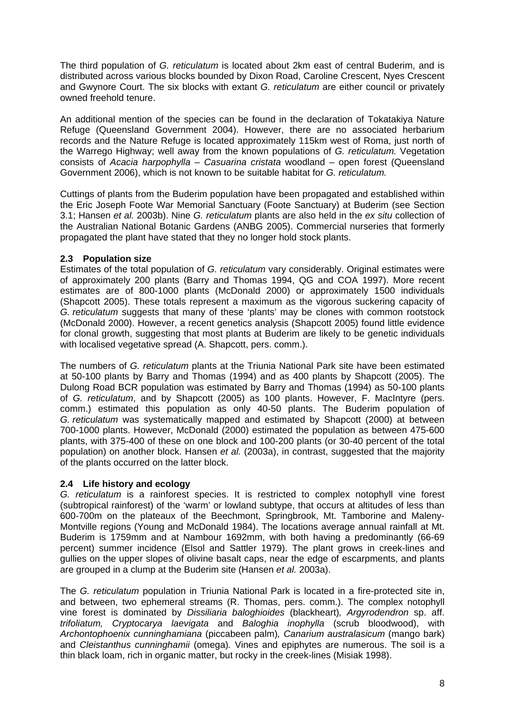The third population of *G. reticulatum* is located about 2km east of central Buderim, and is distributed across various blocks bounded by Dixon Road, Caroline Crescent, Nyes Crescent and Gwynore Court. The six blocks with extant *G. reticulatum* are either council or privately owned freehold tenure.

An additional mention of the species can be found in the declaration of Tokatakiya Nature Refuge (Queensland Government 2004). However, there are no associated herbarium records and the Nature Refuge is located approximately 115km west of Roma, just north of the Warrego Highway; well away from the known populations of *G. reticulatum.* Vegetation consists of *Acacia harpophylla – Casuarina cristata* woodland – open forest (Queensland Government 2006), which is not known to be suitable habitat for *G. reticulatum.* 

Cuttings of plants from the Buderim population have been propagated and established within the Eric Joseph Foote War Memorial Sanctuary (Foote Sanctuary) at Buderim (see Section 3.1; Hansen *et al.* 2003b). Nine *G. reticulatum* plants are also held in the *ex situ* collection of the Australian National Botanic Gardens (ANBG 2005). Commercial nurseries that formerly propagated the plant have stated that they no longer hold stock plants.

#### **2.3 Population size**

Estimates of the total population of *G. reticulatum* vary considerably. Original estimates were of approximately 200 plants (Barry and Thomas 1994, QG and COA 1997). More recent estimates are of 800-1000 plants (McDonald 2000) or approximately 1500 individuals (Shapcott 2005). These totals represent a maximum as the vigorous suckering capacity of *G. reticulatum* suggests that many of these 'plants' may be clones with common rootstock (McDonald 2000). However, a recent genetics analysis (Shapcott 2005) found little evidence for clonal growth, suggesting that most plants at Buderim are likely to be genetic individuals with localised vegetative spread (A. Shapcott, pers. comm.).

The numbers of *G. reticulatum* plants at the Triunia National Park site have been estimated at 50-100 plants by Barry and Thomas (1994) and as 400 plants by Shapcott (2005). The Dulong Road BCR population was estimated by Barry and Thomas (1994) as 50-100 plants of *G. reticulatum*, and by Shapcott (2005) as 100 plants. However, F. MacIntyre (pers. comm.) estimated this population as only 40-50 plants. The Buderim population of *G. reticulatum* was systematically mapped and estimated by Shapcott (2000) at between 700-1000 plants. However, McDonald (2000) estimated the population as between 475-600 plants, with 375-400 of these on one block and 100-200 plants (or 30-40 percent of the total population) on another block. Hansen *et al.* (2003a), in contrast, suggested that the majority of the plants occurred on the latter block.

#### **2.4 Life history and ecology**

*G. reticulatum* is a rainforest species. It is restricted to complex notophyll vine forest (subtropical rainforest) of the 'warm' or lowland subtype, that occurs at altitudes of less than 600-700m on the plateaux of the Beechmont, Springbrook, Mt. Tamborine and Maleny-Montville regions (Young and McDonald 1984). The locations average annual rainfall at Mt. Buderim is 1759mm and at Nambour 1692mm, with both having a predominantly (66-69 percent) summer incidence (Elsol and Sattler 1979). The plant grows in creek-lines and gullies on the upper slopes of olivine basalt caps, near the edge of escarpments, and plants are grouped in a clump at the Buderim site (Hansen *et al.* 2003a).

The *G. reticulatum* population in Triunia National Park is located in a fire-protected site in, and between, two ephemeral streams (R. Thomas, pers. comm.). The complex notophyll vine forest is dominated by *Dissiliaria baloghioides* (blackheart)*, Argyrodendron* sp. aff. *trifoliatum, Cryptocarya laevigata* and *Baloghia inophylla* (scrub bloodwood), with *Archontophoenix cunninghamiana* (piccabeen palm)*, Canarium australasicum* (mango bark) and *Cleistanthus cunninghamii* (omega)*.* Vines and epiphytes are numerous. The soil is a thin black loam, rich in organic matter, but rocky in the creek-lines (Misiak 1998).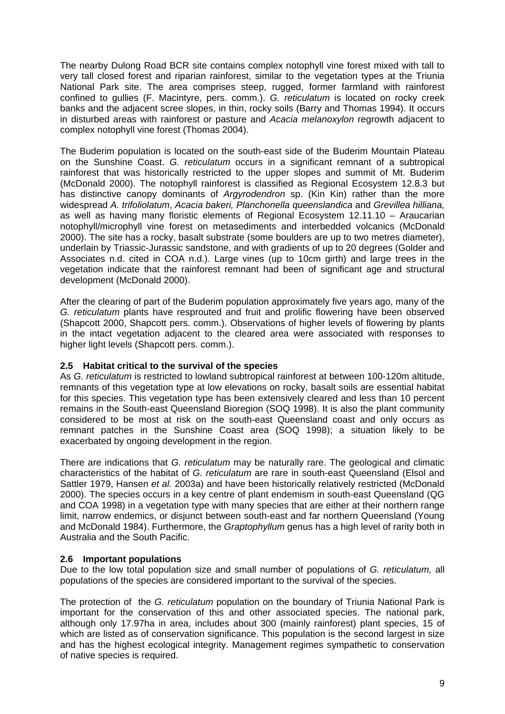The nearby Dulong Road BCR site contains complex notophyll vine forest mixed with tall to very tall closed forest and riparian rainforest, similar to the vegetation types at the Triunia National Park site. The area comprises steep, rugged, former farmland with rainforest confined to gullies (F. Macintyre, pers. comm.). *G. reticulatum* is located on rocky creek banks and the adjacent scree slopes, in thin, rocky soils (Barry and Thomas 1994). It occurs in disturbed areas with rainforest or pasture and *Acacia melanoxylon* regrowth adjacent to complex notophyll vine forest (Thomas 2004).

The Buderim population is located on the south-east side of the Buderim Mountain Plateau on the Sunshine Coast. *G. reticulatum* occurs in a significant remnant of a subtropical rainforest that was historically restricted to the upper slopes and summit of Mt. Buderim (McDonald 2000). The notophyll rainforest is classified as Regional Ecosystem 12.8.3 but has distinctive canopy dominants of *Argyrodendron* sp. (Kin Kin) rather than the more widespread *A. trifoliolatum*, *Acacia bakeri, Planchonella queenslandica* and *Grevillea hilliana,*  as well as having many floristic elements of Regional Ecosystem 12.11.10 – Araucarian notophyll/microphyll vine forest on metasediments and interbedded volcanics (McDonald 2000). The site has a rocky, basalt substrate (some boulders are up to two metres diameter), underlain by Triassic-Jurassic sandstone, and with gradients of up to 20 degrees (Golder and Associates n.d. cited in COA n.d.). Large vines (up to 10cm girth) and large trees in the vegetation indicate that the rainforest remnant had been of significant age and structural development (McDonald 2000).

After the clearing of part of the Buderim population approximately five years ago, many of the *G. reticulatum* plants have resprouted and fruit and prolific flowering have been observed (Shapcott 2000, Shapcott pers. comm.). Observations of higher levels of flowering by plants in the intact vegetation adjacent to the cleared area were associated with responses to higher light levels (Shapcott pers. comm.).

#### **2.5 Habitat critical to the survival of the species**

As *G. reticulatum* is restricted to lowland subtropical rainforest at between 100-120m altitude, remnants of this vegetation type at low elevations on rocky, basalt soils are essential habitat for this species. This vegetation type has been extensively cleared and less than 10 percent remains in the South-east Queensland Bioregion (SOQ 1998). It is also the plant community considered to be most at risk on the south-east Queensland coast and only occurs as remnant patches in the Sunshine Coast area (SOQ 1998); a situation likely to be exacerbated by ongoing development in the region.

There are indications that *G. reticulatum* may be naturally rare. The geological and climatic characteristics of the habitat of *G. reticulatum* are rare in south-east Queensland (Elsol and Sattler 1979, Hansen *et al.* 2003a) and have been historically relatively restricted (McDonald 2000). The species occurs in a key centre of plant endemism in south-east Queensland (QG and COA 1998) in a vegetation type with many species that are either at their northern range limit, narrow endemics, or disjunct between south-east and far northern Queensland (Young and McDonald 1984). Furthermore, the *Graptophyllum* genus has a high level of rarity both in Australia and the South Pacific.

#### **2.6 Important populations**

Due to the low total population size and small number of populations of *G. reticulatum,* all populations of the species are considered important to the survival of the species.

The protection of the *G. reticulatum* population on the boundary of Triunia National Park is important for the conservation of this and other associated species. The national park, although only 17.97ha in area, includes about 300 (mainly rainforest) plant species, 15 of which are listed as of conservation significance. This population is the second largest in size and has the highest ecological integrity. Management regimes sympathetic to conservation of native species is required.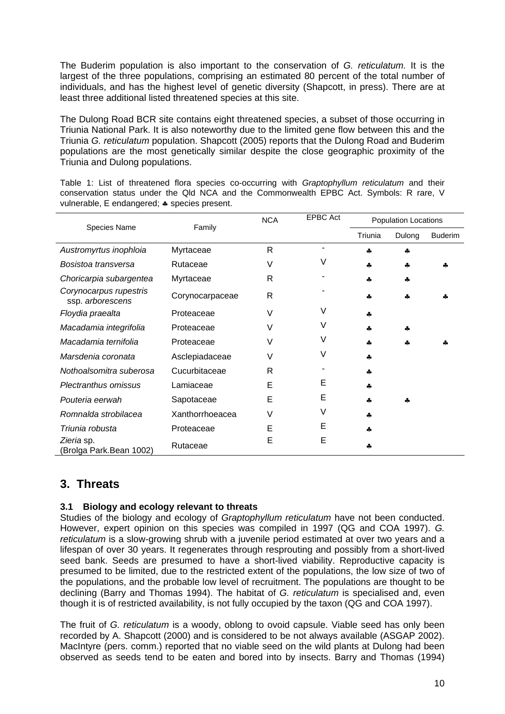The Buderim population is also important to the conservation of *G. reticulatum.* It is the largest of the three populations, comprising an estimated 80 percent of the total number of individuals, and has the highest level of genetic diversity (Shapcott, in press). There are at least three additional listed threatened species at this site.

The Dulong Road BCR site contains eight threatened species, a subset of those occurring in Triunia National Park. It is also noteworthy due to the limited gene flow between this and the Triunia *G. reticulatum* population. Shapcott (2005) reports that the Dulong Road and Buderim populations are the most genetically similar despite the close geographic proximity of the Triunia and Dulong populations.

|                                            |                 |   | <b>EPBC Act</b><br><b>NCA</b> |         | <b>Population Locations</b> |                |  |  |
|--------------------------------------------|-----------------|---|-------------------------------|---------|-----------------------------|----------------|--|--|
| <b>Species Name</b>                        | Family          |   |                               | Triunia | Dulong                      | <b>Buderim</b> |  |  |
| Austromyrtus inophloia                     | Myrtaceae       | R | ٠                             | 4       | 4                           |                |  |  |
| Bosistoa transversa                        | Rutaceae        | V | $\vee$                        | 4       | 4                           | ٠.             |  |  |
| Choricarpia subargentea                    | Myrtaceae       | R |                               | 4       | 4                           |                |  |  |
| Corynocarpus rupestris<br>ssp. arborescens | Corynocarpaceae | R |                               | 4       | 4                           | å.             |  |  |
| Floydia praealta                           | Proteaceae      | V | $\vee$                        | 4       |                             |                |  |  |
| Macadamia integrifolia                     | Proteaceae      | V | $\vee$                        | ؞       | 4                           |                |  |  |
| Macadamia ternifolia                       | Proteaceae      | V | V                             | 4       | å,                          |                |  |  |
| Marsdenia coronata                         | Asclepiadaceae  | V | V                             | 4       |                             |                |  |  |
| Nothoalsomitra suberosa                    | Cucurbitaceae   | R |                               | ه.      |                             |                |  |  |
| Plectranthus omissus                       | Lamiaceae       | E | Е                             | ؞       |                             |                |  |  |
| Pouteria eerwah                            | Sapotaceae      | E | Е                             | 4       | 4                           |                |  |  |
| Romnalda strobilacea                       | Xanthorrhoeacea | V | V                             | 4       |                             |                |  |  |
| Triunia robusta                            | Proteaceae      | Е | Е                             | 4       |                             |                |  |  |
| Zieria sp.<br>(Brolga Park.Bean 1002)      | Rutaceae        | Ε | Е                             | å,      |                             |                |  |  |

Table 1: List of threatened flora species co-occurring with *Graptophyllum reticulatum* and their conservation status under the Qld NCA and the Commonwealth EPBC Act. Symbols: R rare, V vulnerable, E endangered; ♣ species present.

# **3. Threats**

#### **3.1 Biology and ecology relevant to threats**

Studies of the biology and ecology of *Graptophyllum reticulatum* have not been conducted. However, expert opinion on this species was compiled in 1997 (QG and COA 1997). *G. reticulatum* is a slow-growing shrub with a juvenile period estimated at over two years and a lifespan of over 30 years. It regenerates through resprouting and possibly from a short-lived seed bank. Seeds are presumed to have a short-lived viability. Reproductive capacity is presumed to be limited, due to the restricted extent of the populations, the low size of two of the populations, and the probable low level of recruitment. The populations are thought to be declining (Barry and Thomas 1994). The habitat of *G. reticulatum* is specialised and, even though it is of restricted availability, is not fully occupied by the taxon (QG and COA 1997).

The fruit of *G. reticulatum* is a woody, oblong to ovoid capsule. Viable seed has only been recorded by A. Shapcott (2000) and is considered to be not always available (ASGAP 2002). MacIntyre (pers. comm.) reported that no viable seed on the wild plants at Dulong had been observed as seeds tend to be eaten and bored into by insects. Barry and Thomas (1994)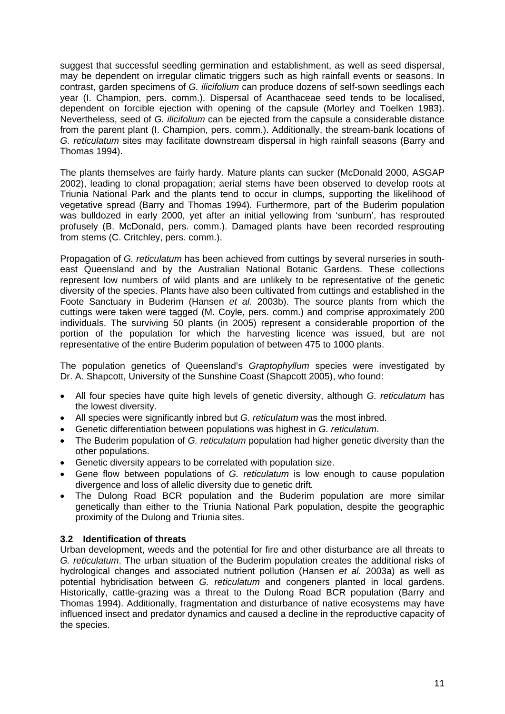suggest that successful seedling germination and establishment, as well as seed dispersal, may be dependent on irregular climatic triggers such as high rainfall events or seasons. In contrast, garden specimens of *G. ilicifolium* can produce dozens of self-sown seedlings each year (I. Champion, pers. comm.). Dispersal of Acanthaceae seed tends to be localised, dependent on forcible ejection with opening of the capsule (Morley and Toelken 1983). Nevertheless, seed of *G. ilicifolium* can be ejected from the capsule a considerable distance from the parent plant (I. Champion, pers. comm.). Additionally, the stream-bank locations of *G. reticulatum* sites may facilitate downstream dispersal in high rainfall seasons (Barry and Thomas 1994).

The plants themselves are fairly hardy. Mature plants can sucker (McDonald 2000, ASGAP 2002), leading to clonal propagation; aerial stems have been observed to develop roots at Triunia National Park and the plants tend to occur in clumps, supporting the likelihood of vegetative spread (Barry and Thomas 1994). Furthermore, part of the Buderim population was bulldozed in early 2000, yet after an initial yellowing from 'sunburn', has resprouted profusely (B. McDonald, pers. comm.). Damaged plants have been recorded resprouting from stems (C. Critchley, pers. comm.).

Propagation of *G. reticulatum* has been achieved from cuttings by several nurseries in southeast Queensland and by the Australian National Botanic Gardens. These collections represent low numbers of wild plants and are unlikely to be representative of the genetic diversity of the species. Plants have also been cultivated from cuttings and established in the Foote Sanctuary in Buderim (Hansen *et al.* 2003b). The source plants from which the cuttings were taken were tagged (M. Coyle, pers. comm.) and comprise approximately 200 individuals. The surviving 50 plants (in 2005) represent a considerable proportion of the portion of the population for which the harvesting licence was issued, but are not representative of the entire Buderim population of between 475 to 1000 plants.

The population genetics of Queensland's *Graptophyllum* species were investigated by Dr. A. Shapcott, University of the Sunshine Coast (Shapcott 2005), who found:

- All four species have quite high levels of genetic diversity, although *G. reticulatum* has the lowest diversity.
- All species were significantly inbred but *G. reticulatum* was the most inbred.
- Genetic differentiation between populations was highest in *G. reticulatum*.
- The Buderim population of *G. reticulatum* population had higher genetic diversity than the other populations.
- Genetic diversity appears to be correlated with population size.
- Gene flow between populations of *G. reticulatum* is low enough to cause population divergence and loss of allelic diversity due to genetic drift*.*
- The Dulong Road BCR population and the Buderim population are more similar genetically than either to the Triunia National Park population, despite the geographic proximity of the Dulong and Triunia sites.

#### **3.2 Identification of threats**

Urban development, weeds and the potential for fire and other disturbance are all threats to *G. reticulatum*. The urban situation of the Buderim population creates the additional risks of hydrological changes and associated nutrient pollution (Hansen *et al.* 2003a) as well as potential hybridisation between *G. reticulatum* and congeners planted in local gardens. Historically, cattle-grazing was a threat to the Dulong Road BCR population (Barry and Thomas 1994). Additionally, fragmentation and disturbance of native ecosystems may have influenced insect and predator dynamics and caused a decline in the reproductive capacity of the species.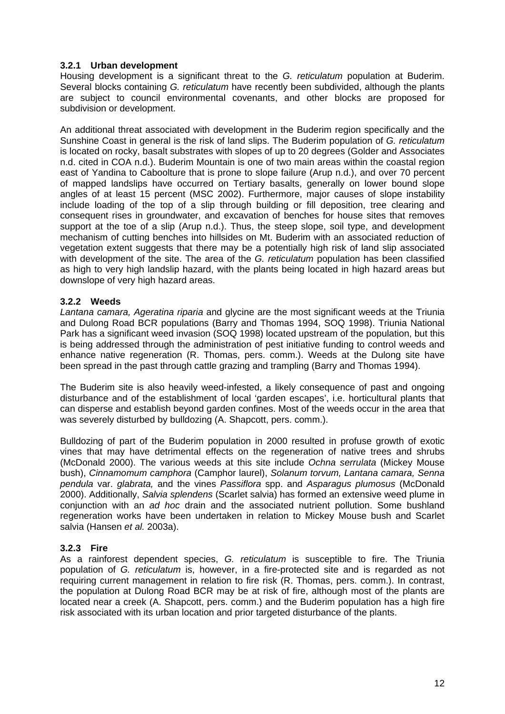#### **3.2.1 Urban development**

Housing development is a significant threat to the *G. reticulatum* population at Buderim. Several blocks containing *G. reticulatum* have recently been subdivided, although the plants are subject to council environmental covenants, and other blocks are proposed for subdivision or development.

An additional threat associated with development in the Buderim region specifically and the Sunshine Coast in general is the risk of land slips. The Buderim population of *G. reticulatum*  is located on rocky, basalt substrates with slopes of up to 20 degrees (Golder and Associates n.d. cited in COA n.d.). Buderim Mountain is one of two main areas within the coastal region east of Yandina to Caboolture that is prone to slope failure (Arup n.d.), and over 70 percent of mapped landslips have occurred on Tertiary basalts, generally on lower bound slope angles of at least 15 percent (MSC 2002). Furthermore, major causes of slope instability include loading of the top of a slip through building or fill deposition, tree clearing and consequent rises in groundwater, and excavation of benches for house sites that removes support at the toe of a slip (Arup n.d.). Thus, the steep slope, soil type, and development mechanism of cutting benches into hillsides on Mt. Buderim with an associated reduction of vegetation extent suggests that there may be a potentially high risk of land slip associated with development of the site. The area of the *G. reticulatum* population has been classified as high to very high landslip hazard, with the plants being located in high hazard areas but downslope of very high hazard areas.

#### **3.2.2 Weeds**

*Lantana camara, Ageratina riparia* and glycine are the most significant weeds at the Triunia and Dulong Road BCR populations (Barry and Thomas 1994, SOQ 1998). Triunia National Park has a significant weed invasion (SOQ 1998) located upstream of the population, but this is being addressed through the administration of pest initiative funding to control weeds and enhance native regeneration (R. Thomas, pers. comm.). Weeds at the Dulong site have been spread in the past through cattle grazing and trampling (Barry and Thomas 1994).

The Buderim site is also heavily weed-infested, a likely consequence of past and ongoing disturbance and of the establishment of local 'garden escapes', i.e. horticultural plants that can disperse and establish beyond garden confines. Most of the weeds occur in the area that was severely disturbed by bulldozing (A. Shapcott, pers. comm.).

Bulldozing of part of the Buderim population in 2000 resulted in profuse growth of exotic vines that may have detrimental effects on the regeneration of native trees and shrubs (McDonald 2000). The various weeds at this site include *Ochna serrulata* (Mickey Mouse bush), *Cinnamomum camphora* (Camphor laurel), *Solanum torvum, Lantana camara, Senna pendula* var. *glabrata,* and the vines *Passiflora* spp. and *Asparagus plumosus* (McDonald 2000). Additionally, *Salvia splendens* (Scarlet salvia) has formed an extensive weed plume in conjunction with an *ad hoc* drain and the associated nutrient pollution. Some bushland regeneration works have been undertaken in relation to Mickey Mouse bush and Scarlet salvia (Hansen *et al.* 2003a).

#### **3.2.3 Fire**

As a rainforest dependent species, *G. reticulatum* is susceptible to fire. The Triunia population of *G. reticulatum* is, however, in a fire-protected site and is regarded as not requiring current management in relation to fire risk (R. Thomas, pers. comm.). In contrast, the population at Dulong Road BCR may be at risk of fire, although most of the plants are located near a creek (A. Shapcott, pers. comm.) and the Buderim population has a high fire risk associated with its urban location and prior targeted disturbance of the plants.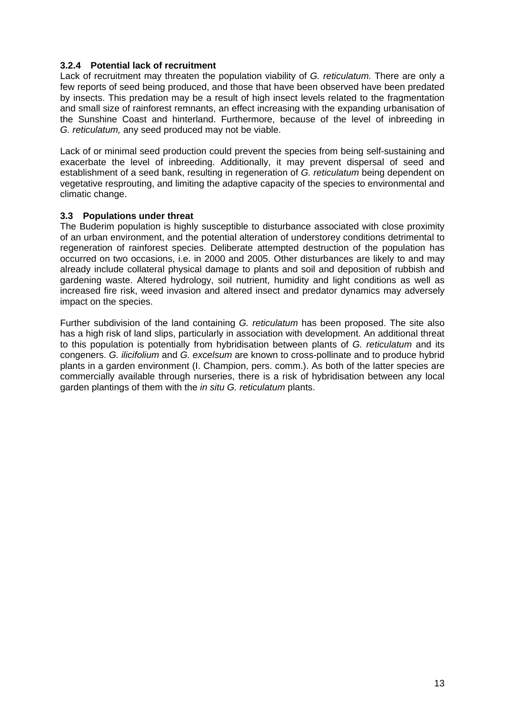#### **3.2.4 Potential lack of recruitment**

Lack of recruitment may threaten the population viability of *G. reticulatum.* There are only a few reports of seed being produced, and those that have been observed have been predated by insects. This predation may be a result of high insect levels related to the fragmentation and small size of rainforest remnants, an effect increasing with the expanding urbanisation of the Sunshine Coast and hinterland. Furthermore, because of the level of inbreeding in *G. reticulatum,* any seed produced may not be viable.

Lack of or minimal seed production could prevent the species from being self-sustaining and exacerbate the level of inbreeding. Additionally, it may prevent dispersal of seed and establishment of a seed bank, resulting in regeneration of *G. reticulatum* being dependent on vegetative resprouting, and limiting the adaptive capacity of the species to environmental and climatic change.

#### **3.3 Populations under threat**

The Buderim population is highly susceptible to disturbance associated with close proximity of an urban environment, and the potential alteration of understorey conditions detrimental to regeneration of rainforest species. Deliberate attempted destruction of the population has occurred on two occasions, i.e. in 2000 and 2005. Other disturbances are likely to and may already include collateral physical damage to plants and soil and deposition of rubbish and gardening waste. Altered hydrology, soil nutrient, humidity and light conditions as well as increased fire risk, weed invasion and altered insect and predator dynamics may adversely impact on the species.

Further subdivision of the land containing *G. reticulatum* has been proposed. The site also has a high risk of land slips, particularly in association with development. An additional threat to this population is potentially from hybridisation between plants of *G. reticulatum* and its congeners. *G. ilicifolium* and *G. excelsum* are known to cross-pollinate and to produce hybrid plants in a garden environment (I. Champion, pers. comm.). As both of the latter species are commercially available through nurseries, there is a risk of hybridisation between any local garden plantings of them with the *in situ G. reticulatum* plants.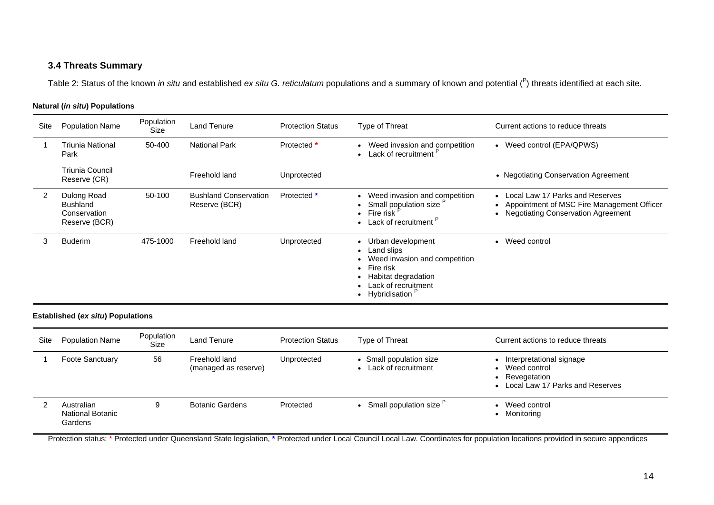#### **3.4 Threats Summary**

Table 2: Status of the known *in situ* and established *ex situ G. reticulatum* populations and a summary of known and potential (P) threats identified at each site.

#### **Natural (***in situ***) Populations**

| Site | <b>Population Name</b>                                          | Population<br>Size | Land Tenure                                   | <b>Protection Status</b> | Type of Threat                                                                                                                                                                   | Current actions to reduce threats                                                                                                 |
|------|-----------------------------------------------------------------|--------------------|-----------------------------------------------|--------------------------|----------------------------------------------------------------------------------------------------------------------------------------------------------------------------------|-----------------------------------------------------------------------------------------------------------------------------------|
|      | Triunia National<br>Park                                        | 50-400             | <b>National Park</b>                          | Protected *              | Weed invasion and competition<br>Lack of recruitment <sup>P</sup>                                                                                                                | • Weed control (EPA/QPWS)                                                                                                         |
|      | Triunia Council<br>Reserve (CR)                                 |                    | Freehold land                                 | Unprotected              |                                                                                                                                                                                  | • Negotiating Conservation Agreement                                                                                              |
| 2    | Dulong Road<br><b>Bushland</b><br>Conservation<br>Reserve (BCR) | 50-100             | <b>Bushland Conservation</b><br>Reserve (BCR) | Protected *              | Weed invasion and competition<br>Small population size <sup>F</sup><br>Fire risk <sup>P</sup><br>Lack of recruitment <sup>r</sup>                                                | • Local Law 17 Parks and Reserves<br>Appointment of MSC Fire Management Officer<br><b>Negotiating Conservation Agreement</b><br>٠ |
| 3    | <b>Buderim</b>                                                  | 475-1000           | Freehold land                                 | Unprotected              | Urban development<br>Land slips<br>$\bullet$<br>Weed invasion and competition<br>$\bullet$ Fire risk<br>Habitat degradation<br>Lack of recruitment<br>Hybridisation <sup>P</sup> | Weed control                                                                                                                      |

#### **Established (***ex situ***) Populations**

| Site | <b>Population Name</b>                           | Population<br>Size | Land Tenure                           | <b>Protection Status</b> | Type of Threat                               | Current actions to reduce threats                                                           |
|------|--------------------------------------------------|--------------------|---------------------------------------|--------------------------|----------------------------------------------|---------------------------------------------------------------------------------------------|
|      | <b>Foote Sanctuary</b>                           | 56                 | Freehold land<br>(managed as reserve) | Unprotected              | Small population size<br>Lack of recruitment | Interpretational signage<br>Weed control<br>Revegetation<br>Local Law 17 Parks and Reserves |
|      | Australian<br><b>National Botanic</b><br>Gardens | 9                  | <b>Botanic Gardens</b>                | Protected                | Small population size                        | Weed control<br>Monitoring                                                                  |

Protection status: \* Protected under Queensland State legislation, \* Protected under Local Council Local Law. Coordinates for population locations provided in secure appendices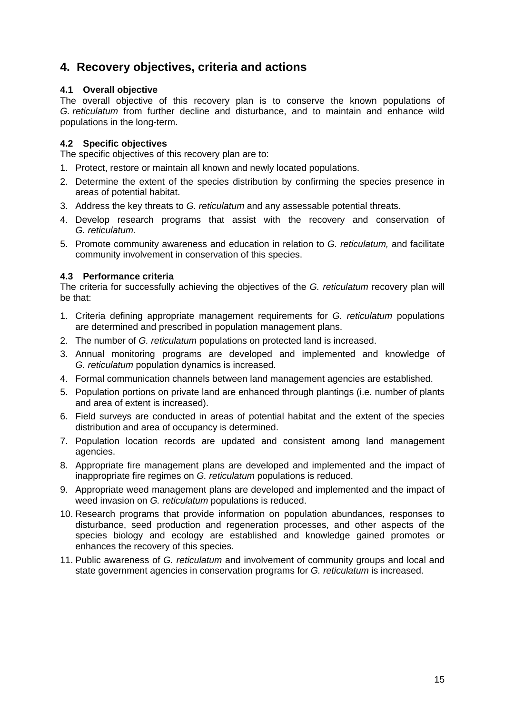## **4. Recovery objectives, criteria and actions**

#### **4.1 Overall objective**

The overall objective of this recovery plan is to conserve the known populations of *G. reticulatum* from further decline and disturbance, and to maintain and enhance wild populations in the long-term.

#### **4.2 Specific objectives**

The specific objectives of this recovery plan are to:

- 1. Protect, restore or maintain all known and newly located populations.
- 2. Determine the extent of the species distribution by confirming the species presence in areas of potential habitat.
- 3. Address the key threats to *G. reticulatum* and any assessable potential threats.
- 4. Develop research programs that assist with the recovery and conservation of *G. reticulatum.*
- 5. Promote community awareness and education in relation to *G. reticulatum,* and facilitate community involvement in conservation of this species.

#### **4.3 Performance criteria**

The criteria for successfully achieving the objectives of the *G. reticulatum* recovery plan will be that:

- 1. Criteria defining appropriate management requirements for *G. reticulatum* populations are determined and prescribed in population management plans.
- 2. The number of *G. reticulatum* populations on protected land is increased.
- 3. Annual monitoring programs are developed and implemented and knowledge of *G. reticulatum* population dynamics is increased.
- 4. Formal communication channels between land management agencies are established.
- 5. Population portions on private land are enhanced through plantings (i.e. number of plants and area of extent is increased).
- 6. Field surveys are conducted in areas of potential habitat and the extent of the species distribution and area of occupancy is determined.
- 7. Population location records are updated and consistent among land management agencies.
- 8. Appropriate fire management plans are developed and implemented and the impact of inappropriate fire regimes on *G. reticulatum* populations is reduced.
- 9. Appropriate weed management plans are developed and implemented and the impact of weed invasion on *G. reticulatum* populations is reduced.
- 10. Research programs that provide information on population abundances, responses to disturbance, seed production and regeneration processes, and other aspects of the species biology and ecology are established and knowledge gained promotes or enhances the recovery of this species.
- 11. Public awareness of *G. reticulatum* and involvement of community groups and local and state government agencies in conservation programs for *G. reticulatum* is increased.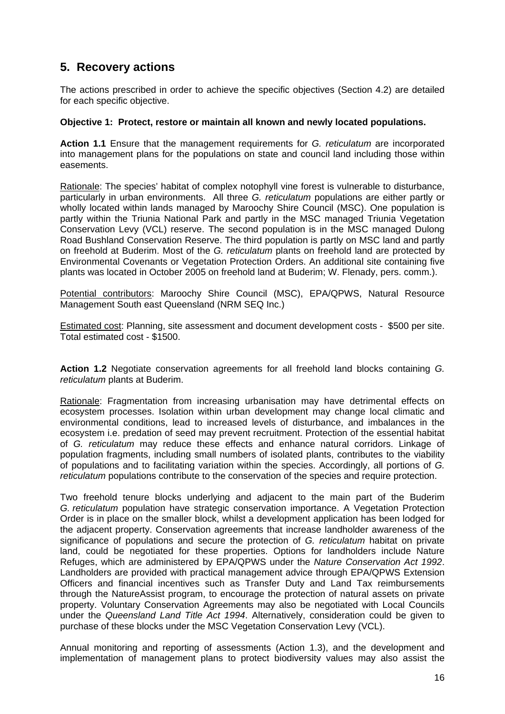### **5. Recovery actions**

The actions prescribed in order to achieve the specific objectives (Section 4.2) are detailed for each specific objective.

#### **Objective 1: Protect, restore or maintain all known and newly located populations.**

**Action 1.1** Ensure that the management requirements for *G. reticulatum* are incorporated into management plans for the populations on state and council land including those within easements.

Rationale: The species' habitat of complex notophyll vine forest is vulnerable to disturbance, particularly in urban environments. All three *G. reticulatum* populations are either partly or wholly located within lands managed by Maroochy Shire Council (MSC). One population is partly within the Triunia National Park and partly in the MSC managed Triunia Vegetation Conservation Levy (VCL) reserve. The second population is in the MSC managed Dulong Road Bushland Conservation Reserve. The third population is partly on MSC land and partly on freehold at Buderim. Most of the *G. reticulatum* plants on freehold land are protected by Environmental Covenants or Vegetation Protection Orders. An additional site containing five plants was located in October 2005 on freehold land at Buderim; W. Flenady, pers. comm.).

Potential contributors: Maroochy Shire Council (MSC), EPA/QPWS, Natural Resource Management South east Queensland (NRM SEQ Inc.)

Estimated cost: Planning, site assessment and document development costs - \$500 per site. Total estimated cost - \$1500.

**Action 1.2** Negotiate conservation agreements for all freehold land blocks containing *G. reticulatum* plants at Buderim.

Rationale: Fragmentation from increasing urbanisation may have detrimental effects on ecosystem processes. Isolation within urban development may change local climatic and environmental conditions, lead to increased levels of disturbance, and imbalances in the ecosystem i.e. predation of seed may prevent recruitment. Protection of the essential habitat of *G. reticulatum* may reduce these effects and enhance natural corridors. Linkage of population fragments, including small numbers of isolated plants, contributes to the viability of populations and to facilitating variation within the species. Accordingly, all portions of *G. reticulatum* populations contribute to the conservation of the species and require protection.

Two freehold tenure blocks underlying and adjacent to the main part of the Buderim *G. reticulatum* population have strategic conservation importance. A Vegetation Protection Order is in place on the smaller block, whilst a development application has been lodged for the adjacent property. Conservation agreements that increase landholder awareness of the significance of populations and secure the protection of *G. reticulatum* habitat on private land, could be negotiated for these properties. Options for landholders include Nature Refuges, which are administered by EPA/QPWS under the *Nature Conservation Act 1992*. Landholders are provided with practical management advice through EPA/QPWS Extension Officers and financial incentives such as Transfer Duty and Land Tax reimbursements through the NatureAssist program, to encourage the protection of natural assets on private property. Voluntary Conservation Agreements may also be negotiated with Local Councils under the *Queensland Land Title Act 1994*. Alternatively, consideration could be given to purchase of these blocks under the MSC Vegetation Conservation Levy (VCL).

Annual monitoring and reporting of assessments (Action 1.3), and the development and implementation of management plans to protect biodiversity values may also assist the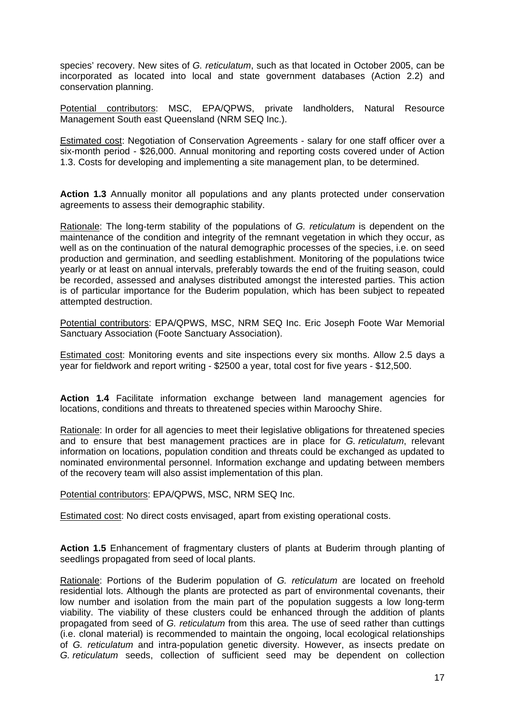species' recovery. New sites of *G. reticulatum*, such as that located in October 2005, can be incorporated as located into local and state government databases (Action 2.2) and conservation planning.

Potential contributors: MSC, EPA/QPWS, private landholders, Natural Resource Management South east Queensland (NRM SEQ Inc.).

Estimated cost: Negotiation of Conservation Agreements - salary for one staff officer over a six-month period - \$26,000. Annual monitoring and reporting costs covered under of Action 1.3. Costs for developing and implementing a site management plan, to be determined.

**Action 1.3** Annually monitor all populations and any plants protected under conservation agreements to assess their demographic stability.

Rationale: The long-term stability of the populations of *G. reticulatum* is dependent on the maintenance of the condition and integrity of the remnant vegetation in which they occur, as well as on the continuation of the natural demographic processes of the species, i.e. on seed production and germination, and seedling establishment. Monitoring of the populations twice yearly or at least on annual intervals, preferably towards the end of the fruiting season, could be recorded, assessed and analyses distributed amongst the interested parties. This action is of particular importance for the Buderim population, which has been subject to repeated attempted destruction.

Potential contributors: EPA/QPWS, MSC, NRM SEQ Inc. Eric Joseph Foote War Memorial Sanctuary Association (Foote Sanctuary Association).

Estimated cost: Monitoring events and site inspections every six months. Allow 2.5 days a year for fieldwork and report writing - \$2500 a year, total cost for five years - \$12,500.

**Action 1.4** Facilitate information exchange between land management agencies for locations, conditions and threats to threatened species within Maroochy Shire.

Rationale: In order for all agencies to meet their legislative obligations for threatened species and to ensure that best management practices are in place for *G. reticulatum*, relevant information on locations, population condition and threats could be exchanged as updated to nominated environmental personnel. Information exchange and updating between members of the recovery team will also assist implementation of this plan.

Potential contributors: EPA/QPWS, MSC, NRM SEQ Inc.

Estimated cost: No direct costs envisaged, apart from existing operational costs.

**Action 1.5** Enhancement of fragmentary clusters of plants at Buderim through planting of seedlings propagated from seed of local plants.

Rationale: Portions of the Buderim population of *G. reticulatum* are located on freehold residential lots. Although the plants are protected as part of environmental covenants, their low number and isolation from the main part of the population suggests a low long-term viability. The viability of these clusters could be enhanced through the addition of plants propagated from seed of *G. reticulatum* from this area. The use of seed rather than cuttings (i.e. clonal material) is recommended to maintain the ongoing, local ecological relationships of *G. reticulatum* and intra-population genetic diversity. However, as insects predate on *G. reticulatum* seeds, collection of sufficient seed may be dependent on collection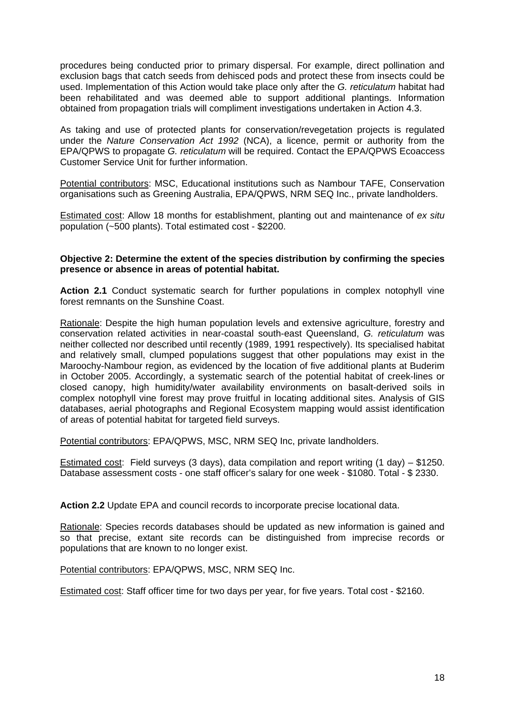procedures being conducted prior to primary dispersal. For example, direct pollination and exclusion bags that catch seeds from dehisced pods and protect these from insects could be used. Implementation of this Action would take place only after the *G. reticulatum* habitat had been rehabilitated and was deemed able to support additional plantings. Information obtained from propagation trials will compliment investigations undertaken in Action 4.3.

As taking and use of protected plants for conservation/revegetation projects is regulated under the *Nature Conservation Act 1992* (NCA), a licence, permit or authority from the EPA/QPWS to propagate *G. reticulatum* will be required. Contact the EPA/QPWS Ecoaccess Customer Service Unit for further information.

Potential contributors: MSC, Educational institutions such as Nambour TAFE, Conservation organisations such as Greening Australia, EPA/QPWS, NRM SEQ Inc., private landholders.

Estimated cost: Allow 18 months for establishment, planting out and maintenance of *ex situ*  population (~500 plants). Total estimated cost - \$2200.

#### **Objective 2: Determine the extent of the species distribution by confirming the species presence or absence in areas of potential habitat.**

**Action 2.1** Conduct systematic search for further populations in complex notophyll vine forest remnants on the Sunshine Coast.

Rationale: Despite the high human population levels and extensive agriculture, forestry and conservation related activities in near-coastal south-east Queensland, *G. reticulatum* was neither collected nor described until recently (1989, 1991 respectively). Its specialised habitat and relatively small, clumped populations suggest that other populations may exist in the Maroochy-Nambour region, as evidenced by the location of five additional plants at Buderim in October 2005. Accordingly, a systematic search of the potential habitat of creek-lines or closed canopy, high humidity/water availability environments on basalt-derived soils in complex notophyll vine forest may prove fruitful in locating additional sites. Analysis of GIS databases, aerial photographs and Regional Ecosystem mapping would assist identification of areas of potential habitat for targeted field surveys.

Potential contributors: EPA/QPWS, MSC, NRM SEQ Inc, private landholders.

Estimated cost: Field surveys (3 days), data compilation and report writing (1 day) – \$1250. Database assessment costs - one staff officer's salary for one week - \$1080. Total - \$ 2330.

**Action 2.2** Update EPA and council records to incorporate precise locational data.

Rationale: Species records databases should be updated as new information is gained and so that precise, extant site records can be distinguished from imprecise records or populations that are known to no longer exist.

Potential contributors: EPA/QPWS, MSC, NRM SEQ Inc.

Estimated cost: Staff officer time for two days per year, for five years. Total cost - \$2160.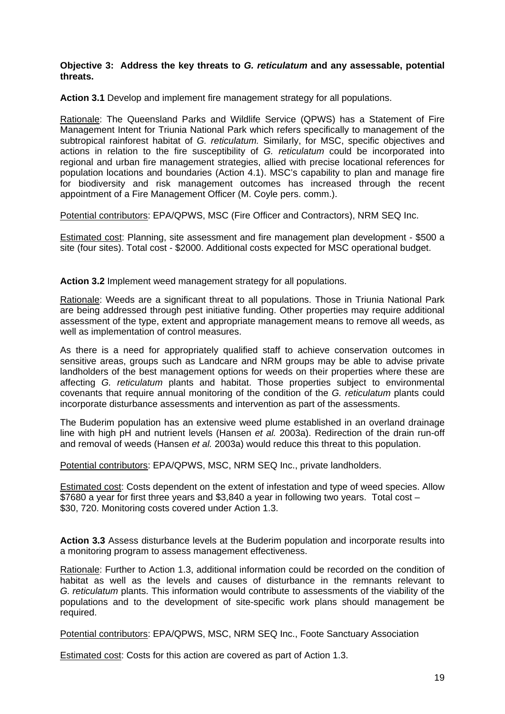#### **Objective 3: Address the key threats to** *G. reticulatum* **and any assessable, potential threats.**

**Action 3.1** Develop and implement fire management strategy for all populations.

Rationale: The Queensland Parks and Wildlife Service (QPWS) has a Statement of Fire Management Intent for Triunia National Park which refers specifically to management of the subtropical rainforest habitat of *G. reticulatum.* Similarly, for MSC, specific objectives and actions in relation to the fire susceptibility of *G. reticulatum* could be incorporated into regional and urban fire management strategies, allied with precise locational references for population locations and boundaries (Action 4.1). MSC's capability to plan and manage fire for biodiversity and risk management outcomes has increased through the recent appointment of a Fire Management Officer (M. Coyle pers. comm.).

Potential contributors: EPA/QPWS, MSC (Fire Officer and Contractors), NRM SEQ Inc.

Estimated cost: Planning, site assessment and fire management plan development - \$500 a site (four sites). Total cost - \$2000. Additional costs expected for MSC operational budget.

**Action 3.2** Implement weed management strategy for all populations.

Rationale: Weeds are a significant threat to all populations. Those in Triunia National Park are being addressed through pest initiative funding. Other properties may require additional assessment of the type, extent and appropriate management means to remove all weeds, as well as implementation of control measures.

As there is a need for appropriately qualified staff to achieve conservation outcomes in sensitive areas, groups such as Landcare and NRM groups may be able to advise private landholders of the best management options for weeds on their properties where these are affecting *G. reticulatum* plants and habitat. Those properties subject to environmental covenants that require annual monitoring of the condition of the *G. reticulatum* plants could incorporate disturbance assessments and intervention as part of the assessments.

The Buderim population has an extensive weed plume established in an overland drainage line with high pH and nutrient levels (Hansen *et al.* 2003a). Redirection of the drain run-off and removal of weeds (Hansen *et al.* 2003a) would reduce this threat to this population.

Potential contributors: EPA/QPWS, MSC, NRM SEQ Inc., private landholders.

Estimated cost: Costs dependent on the extent of infestation and type of weed species. Allow \$7680 a year for first three years and \$3,840 a year in following two years. Total cost – \$30, 720. Monitoring costs covered under Action 1.3.

**Action 3.3** Assess disturbance levels at the Buderim population and incorporate results into a monitoring program to assess management effectiveness.

Rationale: Further to Action 1.3, additional information could be recorded on the condition of habitat as well as the levels and causes of disturbance in the remnants relevant to *G. reticulatum* plants. This information would contribute to assessments of the viability of the populations and to the development of site-specific work plans should management be required.

Potential contributors: EPA/QPWS, MSC, NRM SEQ Inc., Foote Sanctuary Association

Estimated cost: Costs for this action are covered as part of Action 1.3.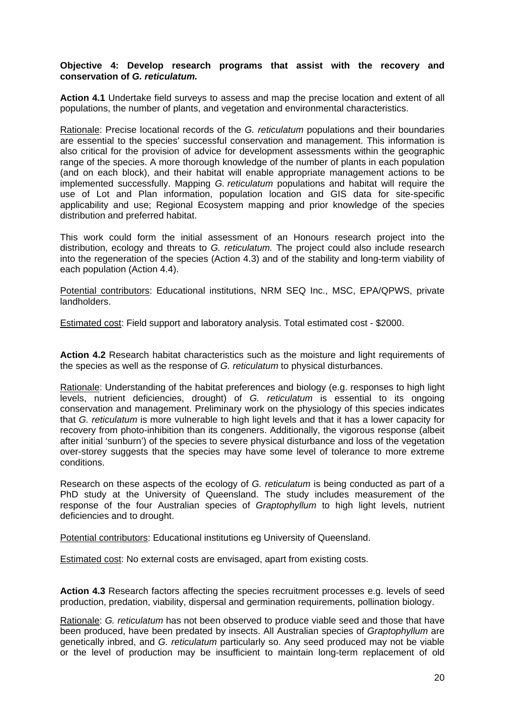#### **Objective 4: Develop research programs that assist with the recovery and conservation of** *G. reticulatum.*

**Action 4.1** Undertake field surveys to assess and map the precise location and extent of all populations, the number of plants, and vegetation and environmental characteristics.

Rationale: Precise locational records of the *G. reticulatum* populations and their boundaries are essential to the species' successful conservation and management. This information is also critical for the provision of advice for development assessments within the geographic range of the species. A more thorough knowledge of the number of plants in each population (and on each block), and their habitat will enable appropriate management actions to be implemented successfully. Mapping *G. reticulatum* populations and habitat will require the use of Lot and Plan information, population location and GIS data for site-specific applicability and use; Regional Ecosystem mapping and prior knowledge of the species distribution and preferred habitat.

This work could form the initial assessment of an Honours research project into the distribution, ecology and threats to *G. reticulatum.* The project could also include research into the regeneration of the species (Action 4.3) and of the stability and long-term viability of each population (Action 4.4).

Potential contributors: Educational institutions, NRM SEQ Inc., MSC, EPA/QPWS, private landholders.

Estimated cost: Field support and laboratory analysis. Total estimated cost - \$2000.

**Action 4.2** Research habitat characteristics such as the moisture and light requirements of the species as well as the response of *G. reticulatum* to physical disturbances.

Rationale: Understanding of the habitat preferences and biology (e.g. responses to high light levels, nutrient deficiencies, drought) of *G. reticulatum* is essential to its ongoing conservation and management. Preliminary work on the physiology of this species indicates that *G. reticulatum* is more vulnerable to high light levels and that it has a lower capacity for recovery from photo-inhibition than its congeners. Additionally, the vigorous response (albeit after initial 'sunburn') of the species to severe physical disturbance and loss of the vegetation over-storey suggests that the species may have some level of tolerance to more extreme conditions.

Research on these aspects of the ecology of *G. reticulatum* is being conducted as part of a PhD study at the University of Queensland. The study includes measurement of the response of the four Australian species of *Graptophyllum* to high light levels, nutrient deficiencies and to drought.

Potential contributors: Educational institutions eg University of Queensland.

Estimated cost: No external costs are envisaged, apart from existing costs.

**Action 4.3** Research factors affecting the species recruitment processes e.g. levels of seed production, predation, viability, dispersal and germination requirements, pollination biology.

Rationale: *G. reticulatum* has not been observed to produce viable seed and those that have been produced, have been predated by insects. All Australian species of *Graptophyllum* are genetically inbred, and *G. reticulatum* particularly so. Any seed produced may not be viable or the level of production may be insufficient to maintain long-term replacement of old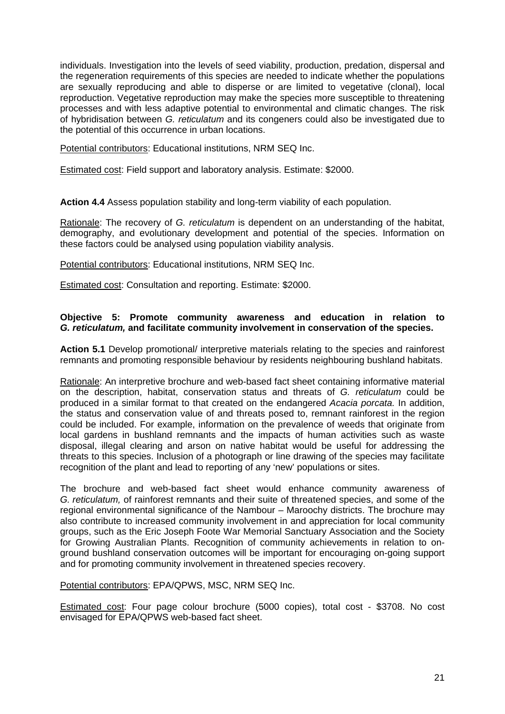individuals. Investigation into the levels of seed viability, production, predation, dispersal and the regeneration requirements of this species are needed to indicate whether the populations are sexually reproducing and able to disperse or are limited to vegetative (clonal), local reproduction. Vegetative reproduction may make the species more susceptible to threatening processes and with less adaptive potential to environmental and climatic changes. The risk of hybridisation between *G. reticulatum* and its congeners could also be investigated due to the potential of this occurrence in urban locations.

Potential contributors: Educational institutions, NRM SEQ Inc.

Estimated cost: Field support and laboratory analysis. Estimate: \$2000.

**Action 4.4** Assess population stability and long-term viability of each population.

Rationale: The recovery of *G. reticulatum* is dependent on an understanding of the habitat, demography, and evolutionary development and potential of the species. Information on these factors could be analysed using population viability analysis.

Potential contributors: Educational institutions, NRM SEQ Inc.

Estimated cost: Consultation and reporting. Estimate: \$2000.

#### **Objective 5: Promote community awareness and education in relation to**  *G. reticulatum,* **and facilitate community involvement in conservation of the species.**

**Action 5.1** Develop promotional/ interpretive materials relating to the species and rainforest remnants and promoting responsible behaviour by residents neighbouring bushland habitats.

Rationale: An interpretive brochure and web-based fact sheet containing informative material on the description, habitat, conservation status and threats of *G. reticulatum* could be produced in a similar format to that created on the endangered *Acacia porcata.* In addition, the status and conservation value of and threats posed to, remnant rainforest in the region could be included. For example, information on the prevalence of weeds that originate from local gardens in bushland remnants and the impacts of human activities such as waste disposal, illegal clearing and arson on native habitat would be useful for addressing the threats to this species. Inclusion of a photograph or line drawing of the species may facilitate recognition of the plant and lead to reporting of any 'new' populations or sites.

The brochure and web-based fact sheet would enhance community awareness of *G. reticulatum,* of rainforest remnants and their suite of threatened species, and some of the regional environmental significance of the Nambour – Maroochy districts. The brochure may also contribute to increased community involvement in and appreciation for local community groups, such as the Eric Joseph Foote War Memorial Sanctuary Association and the Society for Growing Australian Plants. Recognition of community achievements in relation to onground bushland conservation outcomes will be important for encouraging on-going support and for promoting community involvement in threatened species recovery.

Potential contributors: EPA/QPWS, MSC, NRM SEQ Inc.

Estimated cost: Four page colour brochure (5000 copies), total cost - \$3708. No cost envisaged for EPA/QPWS web-based fact sheet.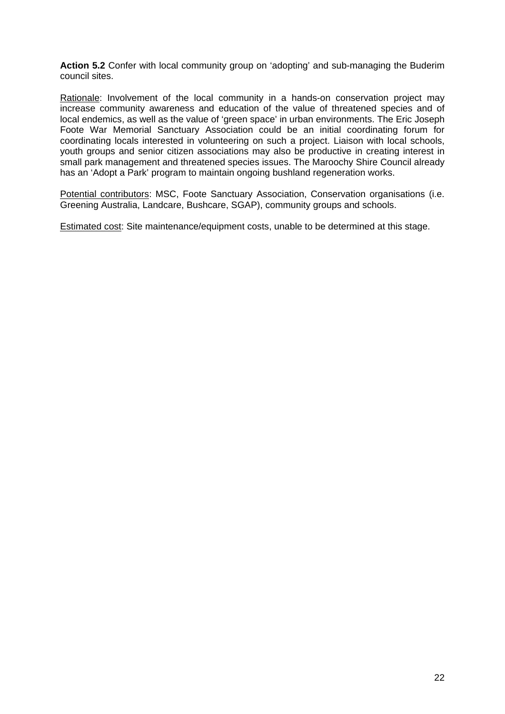**Action 5.2** Confer with local community group on 'adopting' and sub-managing the Buderim council sites.

Rationale: Involvement of the local community in a hands-on conservation project may increase community awareness and education of the value of threatened species and of local endemics, as well as the value of 'green space' in urban environments. The Eric Joseph Foote War Memorial Sanctuary Association could be an initial coordinating forum for coordinating locals interested in volunteering on such a project. Liaison with local schools, youth groups and senior citizen associations may also be productive in creating interest in small park management and threatened species issues. The Maroochy Shire Council already has an 'Adopt a Park' program to maintain ongoing bushland regeneration works.

Potential contributors: MSC, Foote Sanctuary Association, Conservation organisations (i.e. Greening Australia, Landcare, Bushcare, SGAP), community groups and schools.

Estimated cost: Site maintenance/equipment costs, unable to be determined at this stage.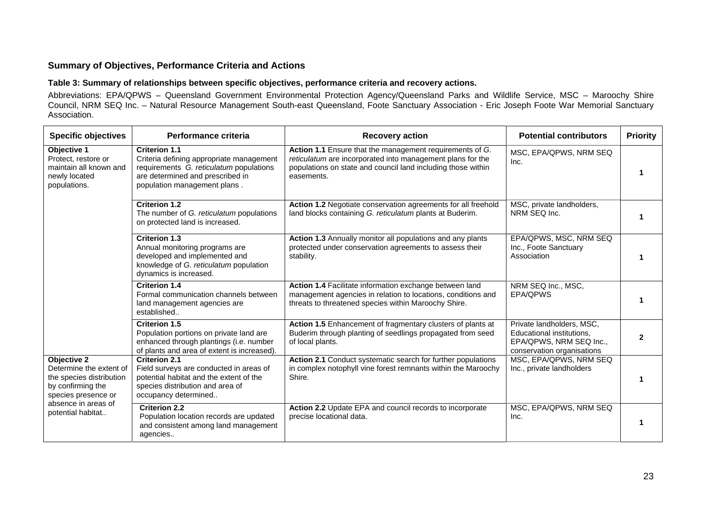#### **Summary of Objectives, Performance Criteria and Actions**

#### **Table 3: Summary of relationships between specific objectives, performance criteria and recovery actions.**

Abbreviations: EPA/QPWS – Queensland Government Environmental Protection Agency/Queensland Parks and Wildlife Service, MSC – Maroochy Shire Council, NRM SEQ Inc. – Natural Resource Management South-east Queensland, Foote Sanctuary Association - Eric Joseph Foote War Memorial Sanctuary Association.

| <b>Specific objectives</b>                                                                                            | Performance criteria                                                                                                                                                                                                                                                                                              | <b>Recovery action</b>                                                                                                                                                                               | <b>Potential contributors</b>                                                                                   | <b>Priority</b> |
|-----------------------------------------------------------------------------------------------------------------------|-------------------------------------------------------------------------------------------------------------------------------------------------------------------------------------------------------------------------------------------------------------------------------------------------------------------|------------------------------------------------------------------------------------------------------------------------------------------------------------------------------------------------------|-----------------------------------------------------------------------------------------------------------------|-----------------|
| Objective 1<br>Protect, restore or<br>maintain all known and<br>newly located<br>populations.                         | <b>Criterion 1.1</b><br>Criteria defining appropriate management<br>requirements G. reticulatum populations<br>are determined and prescribed in<br>population management plans.                                                                                                                                   | Action 1.1 Ensure that the management requirements of G.<br>reticulatum are incorporated into management plans for the<br>populations on state and council land including those within<br>easements. | MSC, EPA/QPWS, NRM SEQ<br>Inc.                                                                                  |                 |
|                                                                                                                       | <b>Criterion 1.2</b><br>The number of G. reticulatum populations<br>on protected land is increased.                                                                                                                                                                                                               | Action 1.2 Negotiate conservation agreements for all freehold<br>land blocks containing G. reticulatum plants at Buderim.                                                                            | MSC, private landholders,<br>NRM SEQ Inc.                                                                       |                 |
|                                                                                                                       | <b>Criterion 1.3</b><br>Annual monitoring programs are<br>developed and implemented and<br>knowledge of G. reticulatum population<br>dynamics is increased.                                                                                                                                                       | Action 1.3 Annually monitor all populations and any plants<br>protected under conservation agreements to assess their<br>stability.                                                                  | EPA/QPWS, MSC, NRM SEQ<br>Inc., Foote Sanctuary<br>Association                                                  |                 |
|                                                                                                                       | <b>Criterion 1.4</b><br>Formal communication channels between<br>land management agencies are<br>established                                                                                                                                                                                                      | Action 1.4 Facilitate information exchange between land<br>management agencies in relation to locations, conditions and<br>threats to threatened species within Maroochy Shire.                      | NRM SEQ Inc., MSC,<br><b>EPA/QPWS</b>                                                                           |                 |
|                                                                                                                       | <b>Criterion 1.5</b><br>Population portions on private land are<br>enhanced through plantings (i.e. number<br>of plants and area of extent is increased).                                                                                                                                                         | Action 1.5 Enhancement of fragmentary clusters of plants at<br>Buderim through planting of seedlings propagated from seed<br>of local plants.                                                        | Private landholders, MSC,<br>Educational institutions,<br>EPA/QPWS, NRM SEQ Inc.,<br>conservation organisations |                 |
| <b>Objective 2</b><br>Determine the extent of<br>the species distribution<br>by confirming the<br>species presence or | Action 2.1 Conduct systematic search for further populations<br><b>Criterion 2.1</b><br>in complex notophyll vine forest remnants within the Maroochy<br>Field surveys are conducted in areas of<br>potential habitat and the extent of the<br>Shire.<br>species distribution and area of<br>occupancy determined |                                                                                                                                                                                                      | MSC, EPA/QPWS, NRM SEQ<br>Inc., private landholders                                                             |                 |
| absence in areas of<br>potential habitat                                                                              | <b>Criterion 2.2</b><br>Population location records are updated<br>and consistent among land management<br>agencies                                                                                                                                                                                               | Action 2.2 Update EPA and council records to incorporate<br>precise locational data.                                                                                                                 | MSC, EPA/QPWS, NRM SEQ<br>Inc.                                                                                  |                 |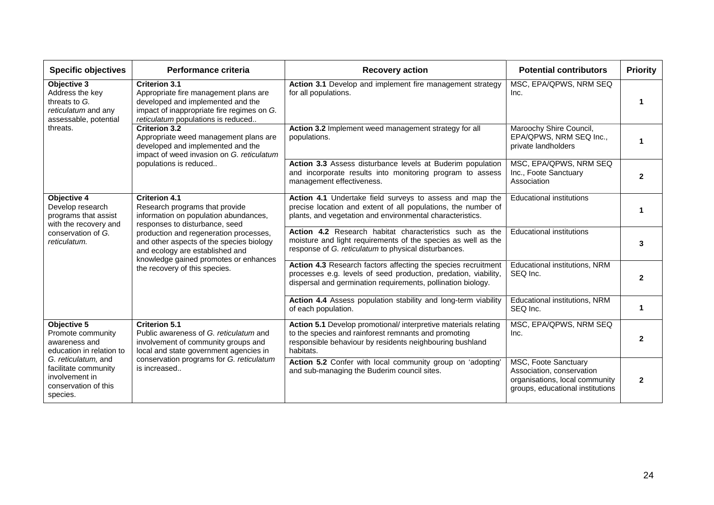| <b>Specific objectives</b>                                                                        | <b>Performance criteria</b>                                                                                                                                                            | <b>Recovery action</b>                                                                                                                                                                           | <b>Potential contributors</b>                                                                                           | <b>Priority</b> |
|---------------------------------------------------------------------------------------------------|----------------------------------------------------------------------------------------------------------------------------------------------------------------------------------------|--------------------------------------------------------------------------------------------------------------------------------------------------------------------------------------------------|-------------------------------------------------------------------------------------------------------------------------|-----------------|
| Objective 3<br>Address the key<br>threats to G.<br>reticulatum and any<br>assessable, potential   | <b>Criterion 3.1</b><br>Appropriate fire management plans are<br>developed and implemented and the<br>impact of inappropriate fire regimes on G.<br>reticulatum populations is reduced | Action 3.1 Develop and implement fire management strategy<br>for all populations.                                                                                                                | MSC, EPA/QPWS, NRM SEQ<br>Inc.                                                                                          |                 |
| threats.                                                                                          | <b>Criterion 3.2</b><br>Appropriate weed management plans are<br>developed and implemented and the<br>impact of weed invasion on G. reticulatum                                        | Action 3.2 Implement weed management strategy for all<br>populations.                                                                                                                            | Maroochy Shire Council,<br>EPA/QPWS, NRM SEQ Inc.,<br>private landholders                                               |                 |
|                                                                                                   | populations is reduced                                                                                                                                                                 | Action 3.3 Assess disturbance levels at Buderim population<br>and incorporate results into monitoring program to assess<br>management effectiveness.                                             | MSC, EPA/QPWS, NRM SEQ<br>Inc., Foote Sanctuary<br>Association                                                          |                 |
| Objective 4<br>Develop research<br>programs that assist<br>with the recovery and                  | <b>Criterion 4.1</b><br>Research programs that provide<br>information on population abundances,<br>responses to disturbance, seed                                                      | Action 4.1 Undertake field surveys to assess and map the<br>precise location and extent of all populations, the number of<br>plants, and vegetation and environmental characteristics.           | <b>Educational institutions</b>                                                                                         |                 |
| conservation of G.<br>reticulatum.                                                                | production and regeneration processes,<br>and other aspects of the species biology<br>and ecology are established and<br>knowledge gained promotes or enhances                         | Action 4.2 Research habitat characteristics such as the<br>moisture and light requirements of the species as well as the<br>response of G. reticulatum to physical disturbances.                 | <b>Educational institutions</b>                                                                                         | 3               |
|                                                                                                   | the recovery of this species.                                                                                                                                                          | Action 4.3 Research factors affecting the species recruitment<br>processes e.g. levels of seed production, predation, viability,<br>dispersal and germination requirements, pollination biology. | Educational institutions, NRM<br>SEQ Inc.                                                                               | 2               |
|                                                                                                   |                                                                                                                                                                                        | Action 4.4 Assess population stability and long-term viability<br>of each population.                                                                                                            | Educational institutions, NRM<br>SEQ Inc.                                                                               | 1               |
| Objective 5<br>Promote community<br>awareness and<br>education in relation to                     | <b>Criterion 5.1</b><br>Public awareness of G. reticulatum and<br>involvement of community groups and<br>local and state government agencies in                                        | Action 5.1 Develop promotional/ interpretive materials relating<br>to the species and rainforest remnants and promoting<br>responsible behaviour by residents neighbouring bushland<br>habitats. | MSC, EPA/QPWS, NRM SEQ<br>Inc.                                                                                          | $\mathbf{z}$    |
| G. reticulatum, and<br>facilitate community<br>involvement in<br>conservation of this<br>species. | conservation programs for G. reticulatum<br>is increased                                                                                                                               | Action 5.2 Confer with local community group on 'adopting'<br>and sub-managing the Buderim council sites.                                                                                        | MSC, Foote Sanctuary<br>Association, conservation<br>organisations, local community<br>groups, educational institutions | $\mathfrak z$   |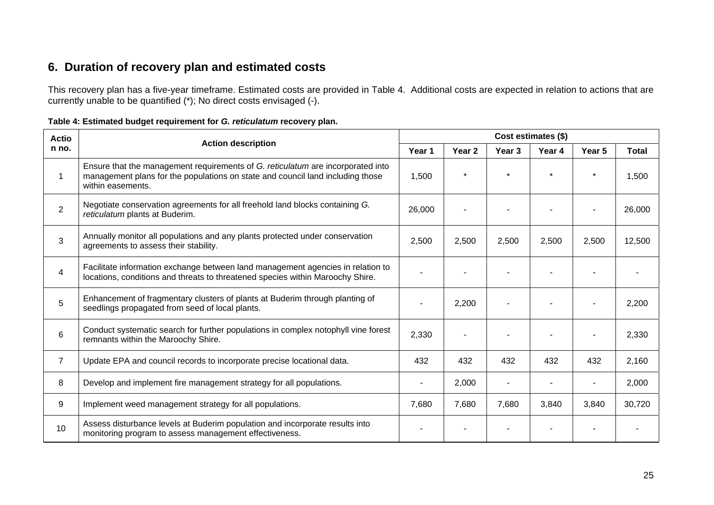# **6. Duration of recovery plan and estimated costs**

This recovery plan has a five-year timeframe. Estimated costs are provided in Table 4. Additional costs are expected in relation to actions that are currently unable to be quantified (\*); No direct costs envisaged (-).

| <b>Actio</b>   |                                                                                                                                                                                        |        | Cost estimates (\$) |                   |        |        |              |  |  |
|----------------|----------------------------------------------------------------------------------------------------------------------------------------------------------------------------------------|--------|---------------------|-------------------|--------|--------|--------------|--|--|
| n no.          | <b>Action description</b>                                                                                                                                                              | Year 1 | Year <sub>2</sub>   | Year <sub>3</sub> | Year 4 | Year 5 | <b>Total</b> |  |  |
| 1              | Ensure that the management requirements of G. reticulatum are incorporated into<br>management plans for the populations on state and council land including those<br>within easements. | 1,500  | $\star$             |                   |        |        | 1,500        |  |  |
| $\overline{2}$ | Negotiate conservation agreements for all freehold land blocks containing G.<br>reticulatum plants at Buderim.                                                                         | 26,000 |                     |                   |        |        | 26,000       |  |  |
| 3              | Annually monitor all populations and any plants protected under conservation<br>agreements to assess their stability.                                                                  | 2,500  | 2,500               | 2,500             | 2,500  | 2,500  | 12,500       |  |  |
| 4              | Facilitate information exchange between land management agencies in relation to<br>locations, conditions and threats to threatened species within Maroochy Shire.                      |        |                     |                   |        |        |              |  |  |
| 5              | Enhancement of fragmentary clusters of plants at Buderim through planting of<br>seedlings propagated from seed of local plants.                                                        |        | 2,200               |                   |        |        | 2,200        |  |  |
| 6              | Conduct systematic search for further populations in complex notophyll vine forest<br>remnants within the Maroochy Shire.                                                              | 2,330  |                     |                   |        |        | 2,330        |  |  |
| 7              | Update EPA and council records to incorporate precise locational data.                                                                                                                 | 432    | 432                 | 432               | 432    | 432    | 2,160        |  |  |
| 8              | Develop and implement fire management strategy for all populations.                                                                                                                    |        | 2,000               |                   |        |        | 2,000        |  |  |
| 9              | Implement weed management strategy for all populations.                                                                                                                                | 7,680  | 7,680               | 7,680             | 3,840  | 3,840  | 30,720       |  |  |
| 10             | Assess disturbance levels at Buderim population and incorporate results into<br>monitoring program to assess management effectiveness.                                                 |        |                     |                   |        |        |              |  |  |

**Table 4: Estimated budget requirement for** *G. reticulatum* **recovery plan.**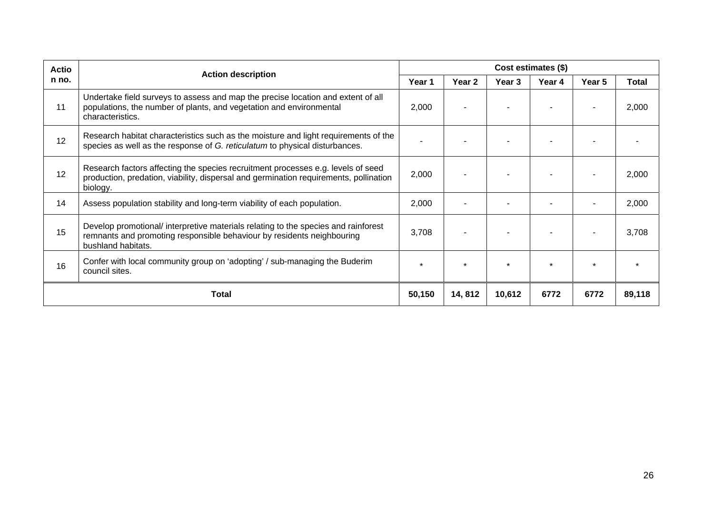| <b>Actio</b> | <b>Action description</b>                                                                                                                                                             |       | Cost estimates (\$) |         |         |        |        |  |
|--------------|---------------------------------------------------------------------------------------------------------------------------------------------------------------------------------------|-------|---------------------|---------|---------|--------|--------|--|
| n no.        |                                                                                                                                                                                       |       | Year 2              | Year 3  | Year 4  | Year 5 | Total  |  |
| 11           | Undertake field surveys to assess and map the precise location and extent of all<br>populations, the number of plants, and vegetation and environmental<br>characteristics.           | 2,000 |                     |         |         |        | 2,000  |  |
| 12           | Research habitat characteristics such as the moisture and light requirements of the<br>species as well as the response of G. reticulatum to physical disturbances.                    |       |                     |         |         |        |        |  |
| 12           | Research factors affecting the species recruitment processes e.g. levels of seed<br>production, predation, viability, dispersal and germination requirements, pollination<br>biology. | 2,000 |                     |         |         |        | 2,000  |  |
| 14           | Assess population stability and long-term viability of each population.                                                                                                               | 2,000 |                     |         |         |        | 2,000  |  |
| 15           | Develop promotional/ interpretive materials relating to the species and rainforest<br>remnants and promoting responsible behaviour by residents neighbouring<br>bushland habitats.    | 3,708 |                     |         |         |        | 3,708  |  |
| 16           | Confer with local community group on 'adopting' / sub-managing the Buderim<br>council sites.                                                                                          |       | $\star$             | $\star$ | $\star$ |        |        |  |
|              | <b>Total</b>                                                                                                                                                                          |       |                     | 10,612  | 6772    | 6772   | 89,118 |  |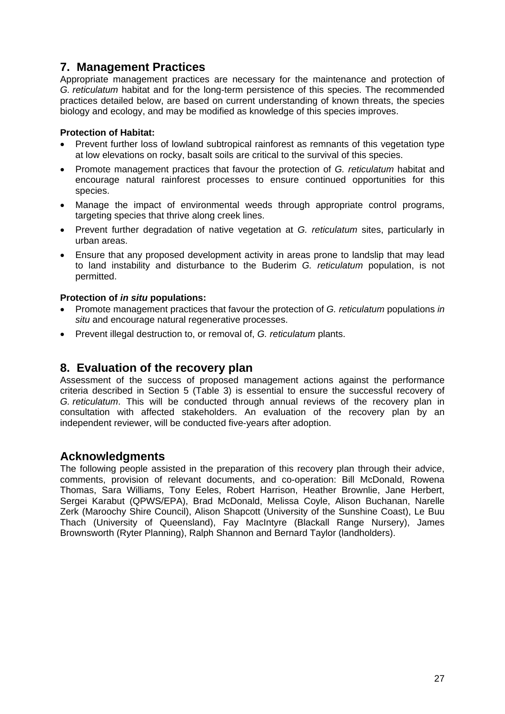### **7. Management Practices**

Appropriate management practices are necessary for the maintenance and protection of *G. reticulatum* habitat and for the long-term persistence of this species. The recommended practices detailed below, are based on current understanding of known threats, the species biology and ecology, and may be modified as knowledge of this species improves.

#### **Protection of Habitat:**

- Prevent further loss of lowland subtropical rainforest as remnants of this vegetation type at low elevations on rocky, basalt soils are critical to the survival of this species.
- Promote management practices that favour the protection of *G. reticulatum* habitat and encourage natural rainforest processes to ensure continued opportunities for this species.
- Manage the impact of environmental weeds through appropriate control programs, targeting species that thrive along creek lines.
- Prevent further degradation of native vegetation at *G. reticulatum* sites, particularly in urban areas.
- Ensure that any proposed development activity in areas prone to landslip that may lead to land instability and disturbance to the Buderim *G. reticulatum* population, is not permitted.

#### **Protection of** *in situ* **populations:**

- Promote management practices that favour the protection of *G. reticulatum* populations *in situ* and encourage natural regenerative processes.
- Prevent illegal destruction to, or removal of, *G. reticulatum* plants.

### **8. Evaluation of the recovery plan**

Assessment of the success of proposed management actions against the performance criteria described in Section 5 (Table 3) is essential to ensure the successful recovery of *G. reticulatum*. This will be conducted through annual reviews of the recovery plan in consultation with affected stakeholders. An evaluation of the recovery plan by an independent reviewer, will be conducted five-years after adoption.

### **Acknowledgments**

The following people assisted in the preparation of this recovery plan through their advice, comments, provision of relevant documents, and co-operation: Bill McDonald, Rowena Thomas, Sara Williams, Tony Eeles, Robert Harrison, Heather Brownlie, Jane Herbert, Sergei Karabut (QPWS/EPA), Brad McDonald, Melissa Coyle, Alison Buchanan, Narelle Zerk (Maroochy Shire Council), Alison Shapcott (University of the Sunshine Coast), Le Buu Thach (University of Queensland), Fay MacIntyre (Blackall Range Nursery), James Brownsworth (Ryter Planning), Ralph Shannon and Bernard Taylor (landholders).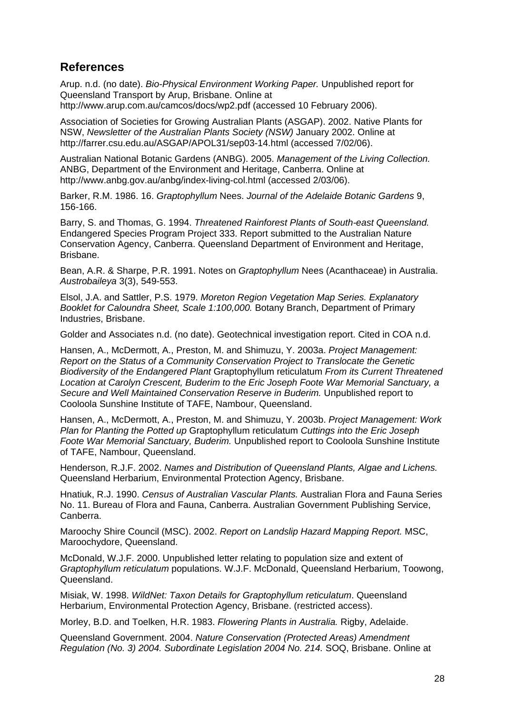### **References**

Arup. n.d. (no date). *Bio-Physical Environment Working Paper.* Unpublished report for Queensland Transport by Arup, Brisbane. Online at http://www.arup.com.au/camcos/docs/wp2.pdf (accessed 10 February 2006).

Association of Societies for Growing Australian Plants (ASGAP). 2002. Native Plants for NSW, *Newsletter of the Australian Plants Society (NSW)* January 2002. Online at http://farrer.csu.edu.au/ASGAP/APOL31/sep03-14.html (accessed 7/02/06).

Australian National Botanic Gardens (ANBG). 2005. *Management of the Living Collection.* ANBG, Department of the Environment and Heritage, Canberra. Online at http://www.anbg.gov.au/anbg/index-living-col.html (accessed 2/03/06).

Barker, R.M. 1986. 16. *Graptophyllum* Nees. *Journal of the Adelaide Botanic Gardens* 9, 156-166.

Barry, S. and Thomas, G. 1994. *Threatened Rainforest Plants of South-east Queensland.*  Endangered Species Program Project 333. Report submitted to the Australian Nature Conservation Agency, Canberra. Queensland Department of Environment and Heritage, Brisbane.

Bean, A.R. & Sharpe, P.R. 1991. Notes on *Graptophyllum* Nees (Acanthaceae) in Australia. *Austrobaileya* 3(3), 549-553.

Elsol, J.A. and Sattler, P.S. 1979. *Moreton Region Vegetation Map Series. Explanatory Booklet for Caloundra Sheet, Scale 1:100,000.* Botany Branch, Department of Primary Industries, Brisbane.

Golder and Associates n.d. (no date). Geotechnical investigation report. Cited in COA n.d.

Hansen, A., McDermott, A., Preston, M. and Shimuzu, Y. 2003a. *Project Management: Report on the Status of a Community Conservation Project to Translocate the Genetic Biodiversity of the Endangered Plant* Graptophyllum reticulatum *From its Current Threatened Location at Carolyn Crescent, Buderim to the Eric Joseph Foote War Memorial Sanctuary, a Secure and Well Maintained Conservation Reserve in Buderim.* Unpublished report to Cooloola Sunshine Institute of TAFE, Nambour, Queensland.

Hansen, A., McDermott, A., Preston, M. and Shimuzu, Y. 2003b. *Project Management: Work Plan for Planting the Potted up* Graptophyllum reticulatum *Cuttings into the Eric Joseph Foote War Memorial Sanctuary, Buderim.* Unpublished report to Cooloola Sunshine Institute of TAFE, Nambour, Queensland.

Henderson, R.J.F. 2002. *Names and Distribution of Queensland Plants, Algae and Lichens.* Queensland Herbarium, Environmental Protection Agency, Brisbane.

Hnatiuk, R.J. 1990. *Census of Australian Vascular Plants.* Australian Flora and Fauna Series No. 11. Bureau of Flora and Fauna, Canberra. Australian Government Publishing Service, Canberra.

Maroochy Shire Council (MSC). 2002. *Report on Landslip Hazard Mapping Report.* MSC, Maroochydore, Queensland.

McDonald, W.J.F. 2000. Unpublished letter relating to population size and extent of *Graptophyllum reticulatum* populations. W.J.F. McDonald, Queensland Herbarium, Toowong, Queensland.

Misiak, W. 1998. *WildNet: Taxon Details for Graptophyllum reticulatum*. Queensland Herbarium, Environmental Protection Agency, Brisbane. (restricted access).

Morley, B.D. and Toelken, H.R. 1983. *Flowering Plants in Australia.* Rigby, Adelaide.

Queensland Government. 2004. *Nature Conservation (Protected Areas) Amendment Regulation (No. 3) 2004. Subordinate Legislation 2004 No. 214.* SOQ, Brisbane. Online at